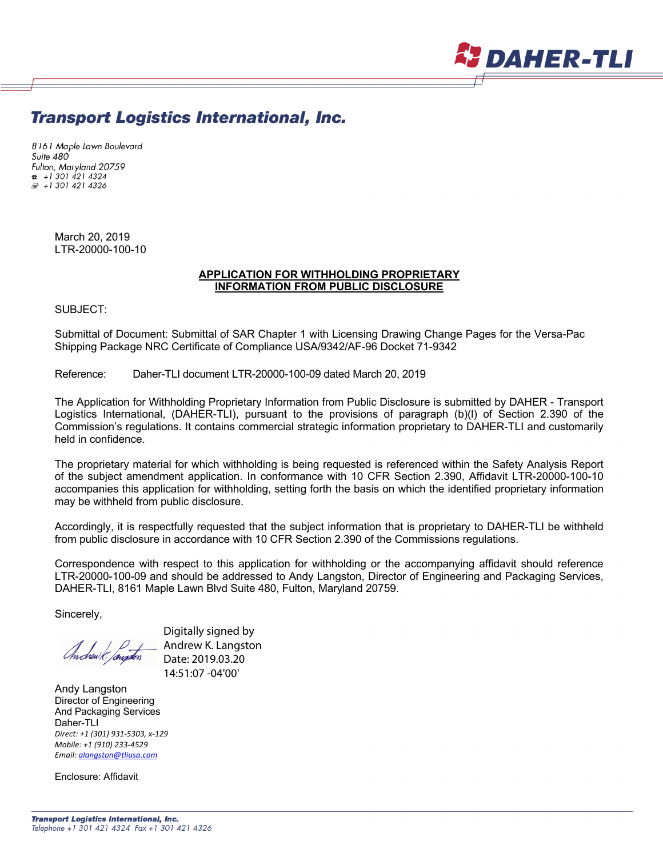

# **Transport Logistics International, Inc.**

8161 Maple Lawn Boulevard Suite 480 Fulton, Maryland 20759  $\frac{1}{2}$  + 1 301 421 4324 £ +1 301 421 4326

> March 20, 2019 LTR-20000-100-10

#### **APPLICATION FOR WITHHOLDING PROPRIETARY INFORMATION FROM PUBLIC DISCLOSURE**

SUBJECT:

Submittal of Document: Submittal of SAR Chapter 1 with Licensing Drawing Change Pages for the Versa-Pac Shipping Package NRC Certificate of Compliance USA/9342/AF-96 Docket 71-9342

Reference: Daher-TLI document LTR-20000-100-09 dated March 20, 2019

The Application for Withholding Proprietary Information from Public Disclosure is submitted by DAHER - Transport Logistics International, (DAHER-TLI), pursuant to the provisions of paragraph (b)(l) of Section 2.390 of the Commission's regulations. It contains commercial strategic information proprietary to DAHER-TLI and customarily held in confidence.

The proprietary material for which withholding is being requested is referenced within the Safety Analysis Report of the subject amendment application. In conformance with 10 CFR Section 2.390, Affidavit LTR-20000-100-10 accompanies this application for withholding, setting forth the basis on which the identified proprietary information may be withheld from public disclosure.

Accordingly, it is respectfully requested that the subject information that is proprietary to DAHER-TLI be withheld from public disclosure in accordance with 10 CFR Section 2.390 of the Commissions regulations.

Correspondence with respect to this application for withholding or the accompanying affidavit should reference LTR-20000-100-09 and should be addressed to Andy Langston, Director of Engineering and Packaging Services, DAHER-TLI, 8161 Maple Lawn Blvd Suite 480, Fulton, Maryland 20759.

Sincerely,

Digitally signed by Andrew K. Langston Date: 2019.03.20 14:51:07 -04'00'

Andy Langston Director of Engineering And Packaging Services Daher-TLI *Direct: +1 (301) 931-5303, x-129 Mobile: +1 (910) 233-4529 Email: alangston@tliusa.com*

Enclosure: Affidavit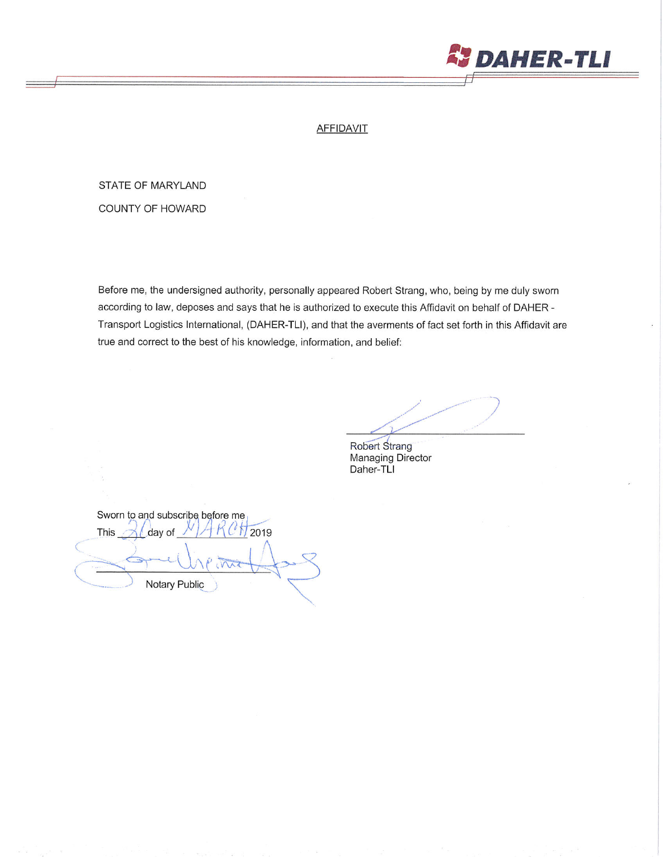

### **AFFIDAVIT**

# STATE OF MARYLAND

COUNTY OF HOWARD

Before me, the undersigned authority, personally appeared Robert Strang, who, being by me duly sworn according to law, deposes and says that he is authorized to execute this Affidavit on behalf of DAHER -Transport Logistics International, (DAHER-TLI), and that the averments of fact set forth in this Affidavit are true and correct to the best of his knowledge, information, and belief:

Robert Strang Managing Director Daher-TLI

Sworn to and subscribe before me This 2019 day of Notary Public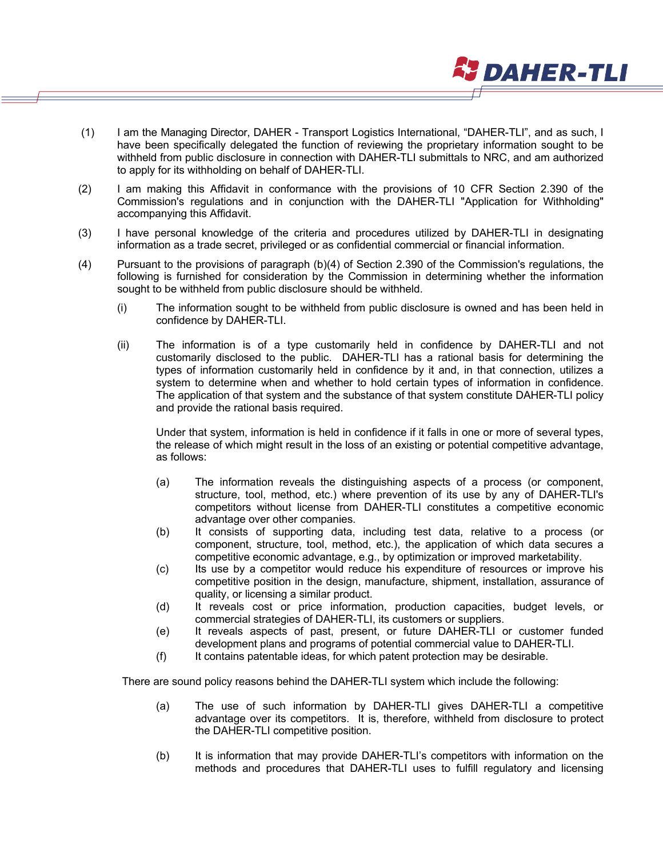(1) I am the Managing Director, DAHER - Transport Logistics International, "DAHER-TLI", and as such, I have been specifically delegated the function of reviewing the proprietary information sought to be withheld from public disclosure in connection with DAHER-TLI submittals to NRC, and am authorized to apply for its withholding on behalf of DAHER-TLI.

**J** DAHER-TLI

- (2) I am making this Affidavit in conformance with the provisions of 10 CFR Section 2.390 of the Commission's regulations and in conjunction with the DAHER-TLI "Application for Withholding" accompanying this Affidavit.
- (3) I have personal knowledge of the criteria and procedures utilized by DAHER-TLI in designating information as a trade secret, privileged or as confidential commercial or financial information.
- (4) Pursuant to the provisions of paragraph (b)(4) of Section 2.390 of the Commission's regulations, the following is furnished for consideration by the Commission in determining whether the information sought to be withheld from public disclosure should be withheld.
	- (i) The information sought to be withheld from public disclosure is owned and has been held in confidence by DAHER-TLI.
	- (ii) The information is of a type customarily held in confidence by DAHER-TLI and not customarily disclosed to the public. DAHER-TLI has a rational basis for determining the types of information customarily held in confidence by it and, in that connection, utilizes a system to determine when and whether to hold certain types of information in confidence. The application of that system and the substance of that system constitute DAHER-TLI policy and provide the rational basis required.

Under that system, information is held in confidence if it falls in one or more of several types, the release of which might result in the loss of an existing or potential competitive advantage, as follows:

- (a) The information reveals the distinguishing aspects of a process (or component, structure, tool, method, etc.) where prevention of its use by any of DAHER-TLI's competitors without license from DAHER-TLI constitutes a competitive economic advantage over other companies.
- (b) It consists of supporting data, including test data, relative to a process (or component, structure, tool, method, etc.), the application of which data secures a competitive economic advantage, e.g., by optimization or improved marketability.
- (c) Its use by a competitor would reduce his expenditure of resources or improve his competitive position in the design, manufacture, shipment, installation, assurance of quality, or licensing a similar product.
- (d) It reveals cost or price information, production capacities, budget levels, or commercial strategies of DAHER-TLI, its customers or suppliers.
- (e) It reveals aspects of past, present, or future DAHER-TLI or customer funded development plans and programs of potential commercial value to DAHER-TLI.
- (f) It contains patentable ideas, for which patent protection may be desirable.

There are sound policy reasons behind the DAHER-TLI system which include the following:

- (a) The use of such information by DAHER-TLI gives DAHER-TLI a competitive advantage over its competitors. It is, therefore, withheld from disclosure to protect the DAHER-TLI competitive position.
- (b) It is information that may provide DAHER-TLI's competitors with information on the methods and procedures that DAHER-TLI uses to fulfill regulatory and licensing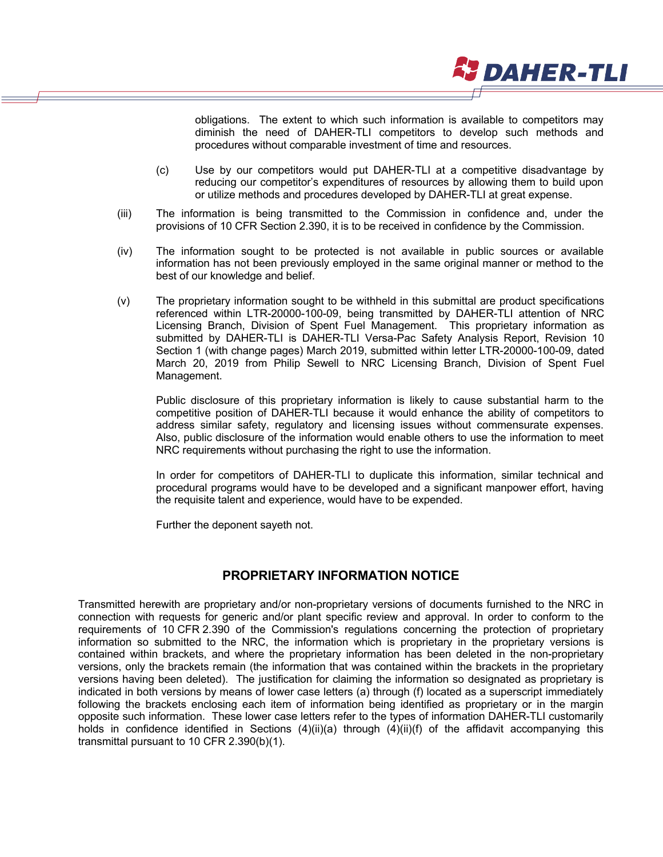obligations. The extent to which such information is available to competitors may diminish the need of DAHER-TLI competitors to develop such methods and procedures without comparable investment of time and resources.

**JDAHER-TLI** 

- (c) Use by our competitors would put DAHER-TLI at a competitive disadvantage by reducing our competitor's expenditures of resources by allowing them to build upon or utilize methods and procedures developed by DAHER-TLI at great expense.
- (iii) The information is being transmitted to the Commission in confidence and, under the provisions of 10 CFR Section 2.390, it is to be received in confidence by the Commission.
- (iv) The information sought to be protected is not available in public sources or available information has not been previously employed in the same original manner or method to the best of our knowledge and belief.
- (v) The proprietary information sought to be withheld in this submittal are product specifications referenced within LTR-20000-100-09, being transmitted by DAHER-TLI attention of NRC Licensing Branch, Division of Spent Fuel Management. This proprietary information as submitted by DAHER-TLI is DAHER-TLI Versa-Pac Safety Analysis Report, Revision 10 Section 1 (with change pages) March 2019, submitted within letter LTR-20000-100-09, dated March 20, 2019 from Philip Sewell to NRC Licensing Branch, Division of Spent Fuel Management.

Public disclosure of this proprietary information is likely to cause substantial harm to the competitive position of DAHER-TLI because it would enhance the ability of competitors to address similar safety, regulatory and licensing issues without commensurate expenses. Also, public disclosure of the information would enable others to use the information to meet NRC requirements without purchasing the right to use the information.

In order for competitors of DAHER-TLI to duplicate this information, similar technical and procedural programs would have to be developed and a significant manpower effort, having the requisite talent and experience, would have to be expended.

Further the deponent sayeth not.

# **PROPRIETARY INFORMATION NOTICE**

Transmitted herewith are proprietary and/or non-proprietary versions of documents furnished to the NRC in connection with requests for generic and/or plant specific review and approval. In order to conform to the requirements of 10 CFR 2.390 of the Commission's regulations concerning the protection of proprietary information so submitted to the NRC, the information which is proprietary in the proprietary versions is contained within brackets, and where the proprietary information has been deleted in the non-proprietary versions, only the brackets remain (the information that was contained within the brackets in the proprietary versions having been deleted). The justification for claiming the information so designated as proprietary is indicated in both versions by means of lower case letters (a) through (f) located as a superscript immediately following the brackets enclosing each item of information being identified as proprietary or in the margin opposite such information. These lower case letters refer to the types of information DAHER-TLI customarily holds in confidence identified in Sections (4)(ii)(a) through (4)(ii)(f) of the affidavit accompanying this transmittal pursuant to 10 CFR 2.390(b)(1).